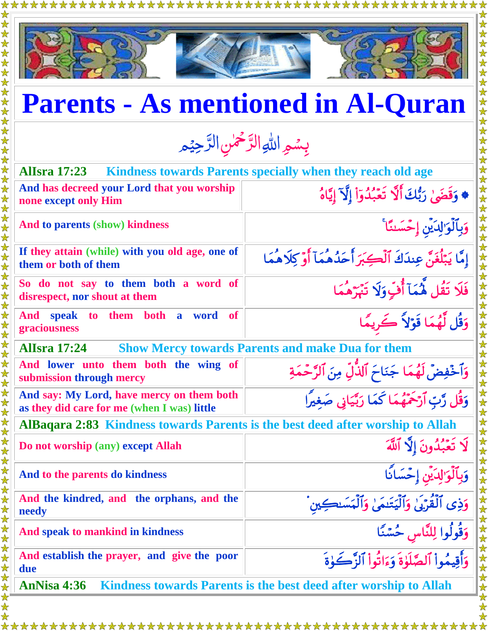



## **Parents - As mentioned in Al-Quran**

بِسُمِ اللهِ الرَّحْمٰنِ الرَّحِيْمِ <u>ú</u> رّ  $\frac{1}{2}$ رّ

| <b>Allsra</b> 17:23                                                                      | Kindness towards Parents specially when they reach old age                     |  |
|------------------------------------------------------------------------------------------|--------------------------------------------------------------------------------|--|
| And has decreed your Lord that you worship<br>none except only Him                       | ♦ وَقَضَىٰ رَبُّكَ أَلَّا تَعَبُّدُوٓاْ إِلَّآ إِيَّاهُ                        |  |
| And to parents (show) kindness                                                           | وَبِٱلْوَ'لِدَيْنِ إِحْسَننَا ۚ                                                |  |
| If they attain (while) with you old age, one of<br>them or both of them                  | إِمَّا يَبْلُغَنَّ عِندَكَ ٱلْكِبَرَ أَحَدُهُمَآ أَوۡ كِلَاهُمَا               |  |
| So do not say to them both a word of<br>disrespect, nor shout at them                    | فَلَا تَقُل مُّمَآ أُفٍّوَلَا تَبْرَهُمَا                                      |  |
| to them both a<br>And speak<br><b>of</b><br>word<br>graciousness                         | وَقُل لَّهُمَا قَوْلاً كَرِيمًا                                                |  |
| <b>Allsra</b> 17:24<br><b>Show Mercy towards Parents and make Dua for them</b>           |                                                                                |  |
| And lower unto them both the wing of<br>submission through mercy                         | وَٱخۡفِضۡ لَهُمَا جَنَاحَ ٱلذَّٰلِّ مِنَ ٱلرَّحۡمَةِ                           |  |
| And say: My Lord, have mercy on them both<br>as they did care for me (when I was) little | وَقُل رَّبِّ أَرْحَمَّهُمَا كَمَا رَبَّيَانِي صَغيرًا                          |  |
| AlBaqara 2:83 Kindness towards Parents is the best deed after worship to Allah           |                                                                                |  |
| Do not worship (any) except Allah                                                        | لَا تَعۡبُدُونَ إِلَّا ٱللَّهَ                                                 |  |
| And to the parents do kindness                                                           | لَوَ'لِدَيْنِ إِحْسَانًا                                                       |  |
| And the kindred, and the orphans, and the<br>needy                                       | وَذِي ٱلۡقُرۡٓٓءِ ٰۙ وَٱلۡیَتَنِمَىٰ وَٱلۡمَسَنِكِین                           |  |
| And speak to mankind in kindness                                                         | وَقُولُوا لِلنَّاسِ حُسْنًا<br>وَأَقِيمُواْ آلصَّلَوٰةَ وَءَاثُواْ ٱلزَّكَوٰةَ |  |
| And establish the prayer, and give the poor<br>due                                       |                                                                                |  |
| Kindness towards Parents is the best deed after worship to Allah<br>AnNisa 4:36          |                                                                                |  |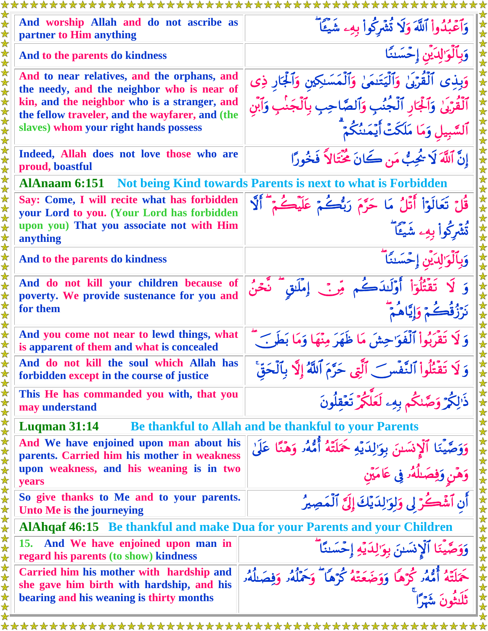| <i><b>xxxxxxxxxxxxxxxxxxxxx</b></i>                                                                                                                                                                                                   | <b>XXXXXXXXX</b>                                                                                                                                                                    |
|---------------------------------------------------------------------------------------------------------------------------------------------------------------------------------------------------------------------------------------|-------------------------------------------------------------------------------------------------------------------------------------------------------------------------------------|
| And worship Allah and do not ascribe as<br>partner to Him anything                                                                                                                                                                    | وَٱعۡبُدُواْ ٱللَّهَ وَلَا تُشۡرِكُواْ بِهِۦ شَيۡـًآ                                                                                                                                |
| And to the parents do kindness                                                                                                                                                                                                        | وَبِٱلْوَ'لِدَيْنِ إِحْسَننَا                                                                                                                                                       |
| And to near relatives, and the orphans, and<br>the needy, and the neighbor who is near of<br>kin, and the neighbor who is a stranger, and<br>the fellow traveler, and the wayfarer, and (the<br>slaves) whom your right hands possess | وَبِذِى ٱلْقُرْبَىٰ وَٱلْيَتَنِمَىٰ وَٱلْمَسَنِكِينِ وَٱلْجَارِ ذِى<br>ٱلْقُرْبَىٰ وَٱلْجَارِ ٱلْجُنُبِ وَٱلصَّاحِبِ بِٱلْجَنْبِ وَٱبْن<br>ٱلسَّبِيلِ وَمَا مَلَكَتْ أَيْمَـٰنُكُمْ |
| Indeed, Allah does not love those who are<br>proud, boastful                                                                                                                                                                          | إِنَّ ٱللَّهَ لَا يُجِبُّ مَن كَانَ مُخْتَالاً فَخُورًا                                                                                                                             |
| <b>AlAnaam 6:151</b>                                                                                                                                                                                                                  | Not being Kind towards Parents is next to what is Forbidden                                                                                                                         |
| Say: Come, I will recite what has forbidden<br>your Lord to you. (Your Lord has forbidden                                                                                                                                             | قُلْ تَعَالَوْاْ أَتْلُ مَا حَرَّمَ رَبُّكُمْ عَلَيْكُمْ أَلَّا                                                                                                                     |
| upon you) That you associate not with Him<br>anything                                                                                                                                                                                 | ثَشْرِكُواْ بِهِۦ شَيْئًا                                                                                                                                                           |
| And to the parents do kindness                                                                                                                                                                                                        | وَبِٱلْوَ'لِدَيْنِ إِحْسَنَاً                                                                                                                                                       |
| And do not kill your children because of<br>poverty. We provide sustenance for you and<br>for them                                                                                                                                    | وَ لَا تَقْتُلُوٓاْ أَوْلَـٰدَكُم مِّنَّ إِمْلَـٰقٍ تَّحْنُ<br>نَرَزُقُكُمْ وَإِيَّاهُمْ                                                                                            |
| And you come not near to lewd things, what<br>is apparent of them and what is concealed                                                                                                                                               | وَ لَا تَقْرَبُواْ ٱلْفَوَ'حِشَ مَا ظَهَرَ مِنْهَا وَمَا بَطَهِ ﴾ ۖ                                                                                                                 |
| And do not kill the soul which Allah has<br>forbidden except in the course of justice                                                                                                                                                 | وَ لَا تَقْتُلُواْ ٱلنَّفْسَ ٱلَّتِي حَرَّمَ ٱللَّهُ إِلَّا بِٱلْحَقَّ                                                                                                              |
| This He has commanded you with, that you<br>may understand                                                                                                                                                                            | ذَالِكُمْ وَصَّلْكُمْ بِهِۦ لَعَلَّكُمْ تَعۡقِلُونَ                                                                                                                                 |
| Luqman $31:14$                                                                                                                                                                                                                        | Be thankful to Allah and be thankful to your Parents                                                                                                                                |
| And We have enjoined upon man about his<br>parents. Carried him his mother in weakness                                                                                                                                                | وَوَصَّيْنَا ٱلْإِنسَىٰنَ بِوَالِدَيْهِ حَمَلَتْهُ أُمُّهُ وَهَنَّا عَلَىٰ                                                                                                          |
| upon weakness, and his weaning is in two<br>years                                                                                                                                                                                     | وَهَنِ وَفِصَلُهُ وِ عَامَيْنِ                                                                                                                                                      |
| So give thanks to Me and to your parents.<br>Unto Me is the journeying                                                                                                                                                                | أَن ٱشْكُرْ لِي وَلِوَ'لِدَيْكَ إِلَيَّ ٱلْمَصِيرُ                                                                                                                                  |
| AlAhqaf 46:15 Be thankful and make Dua for your Parents and your Children                                                                                                                                                             |                                                                                                                                                                                     |
| And We have enjoined upon man in<br><b>15.</b><br>regard his parents (to show) kindness                                                                                                                                               | وَوَصَّينَا ٱلْإِنسَنَ بِوَ'لِدَيْهِ إِحْسَننَا ۖ                                                                                                                                   |
| Carried him his mother with hardship and<br>she gave him birth with hardship, and his<br>bearing and his weaning is thirty months                                                                                                     | حَمَلَتَهُ أُمُّهُر كُرْهًا وَوَضَعَتْهُ كُرْهًا ۖ وَحَمَّلُهُ وَفِصَلُهُۥ<br>ثَلَثُونَ شَهَرًّا                                                                                    |
|                                                                                                                                                                                                                                       |                                                                                                                                                                                     |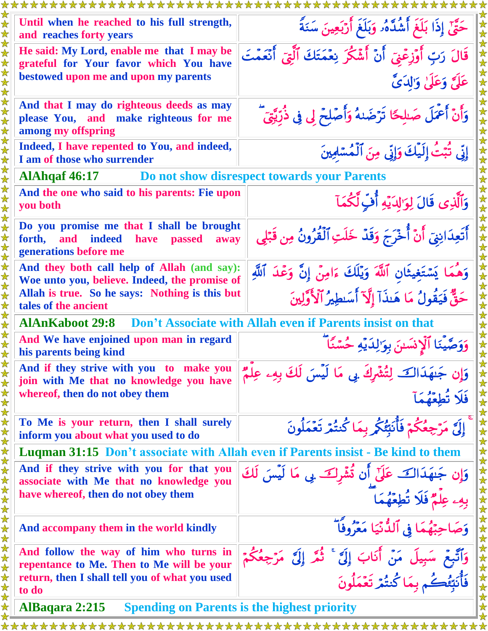| Until when he reached to his full strength,<br>and reaches forty years                                                                | حَقَّىٰٓ إِذَا بَلَغَ أَشُدَّهُۥ وَبَلَغَ أَرْبَعِينَ سَنَةً                                |
|---------------------------------------------------------------------------------------------------------------------------------------|---------------------------------------------------------------------------------------------|
| He said: My Lord, enable me that I may be<br>grateful for Your favor which You have                                                   | قَالَ رَبِّ أُوۡزِعۡنَىٓ أَنۡ أَشۡكُرَ نِعۡمَتَكَ ٱلَّٰتِىٓ أَنۡعَمۡتَ                      |
| bestowed upon me and upon my parents                                                                                                  | عَلَيَّ وَعَلَىٰ وَالدَيَّ                                                                  |
| And that I may do righteous deeds as may<br>please You, and make righteous for me<br>among my offspring                               | وَأَنْ أَعْمَلَ صَلِحًا تَرْضَىٰهُ وَأَصَلِحْ لِى فِى ذُرِّيَّتِيّ                          |
| Indeed, I have repented to You, and indeed,<br>I am of those who surrender                                                            | إِنِّي تُبَتُّ إِلَيْكَ وَإِنِّي مِنَ ٱلْمُسَٰلِمِينَ                                       |
| <b>AlAhqaf 46:17</b>                                                                                                                  | Do not show disrespect towards your Parents                                                 |
| And the one who said to his parents: Fie upon<br>you both                                                                             | وَٱلَّذِى قَالَ لِوَالِدَيْهِ أُفِّ لَّكُمَآ                                                |
| Do you promise me that I shall be brought<br><b>indeed</b><br>and<br>forth,<br>have<br><b>passed</b><br>away<br>generations before me | أَتَعِدَانِنِيٓ أَنْ أُخْرَجَ وَقَدْ خَلَتِ ٱلۡقُرُونُ مِن قَبۡلِي                          |
| And they both call help of Allah (and say):<br>Woe unto you, believe. Indeed, the promise of                                          | وَهُمَا يَسْتَغِيثَانِ ٱللَّهَ وَيُلَكَ ءَامِنٌ إِنَّ وَعْدَ ٱللَّهِ                        |
| Allah is true. So he says: Nothing is this but<br>tales of the ancient                                                                | حَقٌّ فَيَقُولُ مَا هَنذَآ إِلَّآ أَسَطِيرُ ٱلْأَوَّلِينَ                                   |
| <b>AlAnKaboot 29:8</b>                                                                                                                | Don't Associate with Allah even if Parents insist on that                                   |
| And We have enjoined upon man in regard<br>his parents being kind                                                                     | وَوَصَّيِّنَا ٱلْإِنسَىنَ بِوَ'لِدَيْهِ حُسَّنًا ۖ                                          |
| And if they strive with you to make you<br>join with Me that no knowledge you have                                                    | وَإِن جَنهَدَالَكَ لِتُنثَّرِكَ بِي مَا لَيْسَ لَكَ بِهِۦ عِلْمٌ                            |
| whereof, then do not obey them                                                                                                        | فَلَا تُطِعُونَ                                                                             |
| To Me is your return, then I shall surely<br>inform you about what you used to do                                                     | إِلَىَّ مَرْجِعُكُمْ فَأُنَبَّئُكُمْ بِمَا كُنتُمْ تَعْمَلُونَ                              |
| <b>Luqman 31:15 Don't associate with Allah even if Parents insist - Be kind to them</b>                                               |                                                                                             |
| And if they strive with you for that you<br>associate with Me that no knowledge you                                                   |                                                                                             |
| have whereof, then do not obey them                                                                                                   | وَإِن جَنهَدَاكَ عَلَىٰٓ أَن ثُشْرِكَ بِى مَا لَيْسَ لَكَ<br>بِهِۦ عِلْمٌ فَلَا تُطِعْهُمَا |
| And accompany them in the world kindly                                                                                                | وَصَاحِبْهُمَا فِي ٱلدُّنْيَا مَعْرُوفًا ۖ                                                  |
| And follow the way of him who turns in<br>repentance to Me. Then to Me will be your                                                   | وَٱتَّبِعْ سَبِيلَ مَنْ أَنَابَ إِلَى ۚ ثُمَّ إِلَى ۚ مَرْجِعُكُمْ                          |
| return, then I shall tell you of what you used<br>to do                                                                               | ر بى<br>فَأَنبَّعُكُم بِمَا كُنتُمْ تَعْمَلُونَ                                             |
| AlBaqara 2:215                                                                                                                        | <b>Spending on Parents is the highest priority</b>                                          |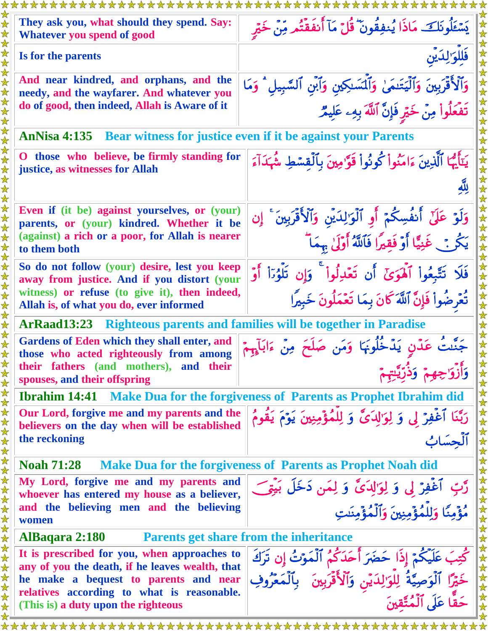| يَسْتَلُونَكَ مَاذَا يُنفِقُونَ ۚ قُلْ مَآ أَنفَقْتُم مِّنْ خَيْرِ                                                                                                                           |  |
|----------------------------------------------------------------------------------------------------------------------------------------------------------------------------------------------|--|
| فَللوَ'لِدَيْن                                                                                                                                                                               |  |
| وَٱلْأَقْرَبِينَ وَٱلْيَتَنمَىٰ وَٱلۡسَٰلِكِينِ وَٱبۡنِ ٱلسَّٰبِيلِ ۚ وَمَا                                                                                                                  |  |
| تَفْعَلُواْ مِنْ خَيْرِ فَإِنَّ ٱللَّهَ بِهِۦ عَلِيمٌ                                                                                                                                        |  |
| Bear witness for justice even if it be against your Parents                                                                                                                                  |  |
| يَتَأَيُّهَا ٱلَّذِينَ ءَامَنُواْ كُونُواْ قَوَّامِينَ بِٱلْقِسْطِ شُهَدَآءَ<br>O those who believe, be firmly standing for                                                                  |  |
|                                                                                                                                                                                              |  |
| Even if (it be) against yourselves, or (your)<br>وَلَوْ عَلَىٰٓ أَنفُسِكُمۡ أَوِ ٱلۡوَٰزِلِدَيۡنِ وَٱلۡأَقۡرَبِينَ ۚ إِن<br>parents, or (your) kindred. Whether it be                        |  |
| (against) a rich or a poor, for Allah is nearer<br>يَكُنْ غَنِيًّا أَوْ فَقِيرًا فَٱللَّهُ أُوْلَىٰ بِهَمَا ۖ                                                                                |  |
| So do not follow (your) desire, lest you keep<br>فَلَا تَتَّبِعُواْ ٱلْهَوَىٰٓ أَن تَعۡدِلُواْ ۚ وَإِن تَلۡوُرَاْ أَوۡ<br>away from justice. And if you distort (your                        |  |
| witness) or refuse (to give it), then indeed,<br>تُعْرِضُواْ فَإِنَّ ٱللَّهَ كَانَ بِمَا تَعْمَلُونَ خَبِيرًا                                                                                |  |
| <b>Righteous parents and families will be together in Paradise</b>                                                                                                                           |  |
| جَنَّتُ عَدْنٍ يَدْخُلُونَهَا وَمَن صَلَحَ مِنْ ءَابَآءٍ مّ                                                                                                                                  |  |
|                                                                                                                                                                                              |  |
| Make Dua for the forgiveness of Parents as Prophet Ibrahim did                                                                                                                               |  |
| Our Lord, forgive me and my parents and the<br>رَبَّنَا ٱغۡفِرۡ لِى وَ لِوَالِدَىٰٓ وَ لِلمُؤۡمِنِينَ يَوۡمَ يَقُومُ<br>believers on the day when will be established                        |  |
| أأحسا                                                                                                                                                                                        |  |
| Make Dua for the forgiveness of Parents as Prophet Noah did                                                                                                                                  |  |
| My Lord, forgive me and my parents and<br>رَّتٍ آغَفِرَ لِی وَ لِوَالِدَیَّ وَ لِمَن دَخَلَ بَیْتِی<br>whoever has entered my house as a believer,                                           |  |
| مُؤْمِنًا وَلِلْمُؤْمِنِينَ وَٱلْمُؤْمِنَينَ<br>and the believing men and the believing                                                                                                      |  |
| AlBaqara 2:180<br><b>Parents get share from the inheritance</b>                                                                                                                              |  |
| It is prescribed for you, when approaches to<br>كَتِبَ عَلَيْكُمْ إِذَا حَضَرَ أُحَدَكُمُ ٱلْمَوْتُ إِن تَرَكَ<br>any of you the death, if he leaves wealth, that                            |  |
| خَيْرًا ٱلْوَصِيَّةُ لِلْوَ'لِدَيْنِ وَٱلْأَقْرَٰبِينَ ۚ بِٱلْمَعْرُوفِ<br>حَقًّا عَلَى ٱلْمُتَّقِينَ<br>he make a bequest to parents and near<br>relatives according to what is reasonable. |  |
|                                                                                                                                                                                              |  |
|                                                                                                                                                                                              |  |